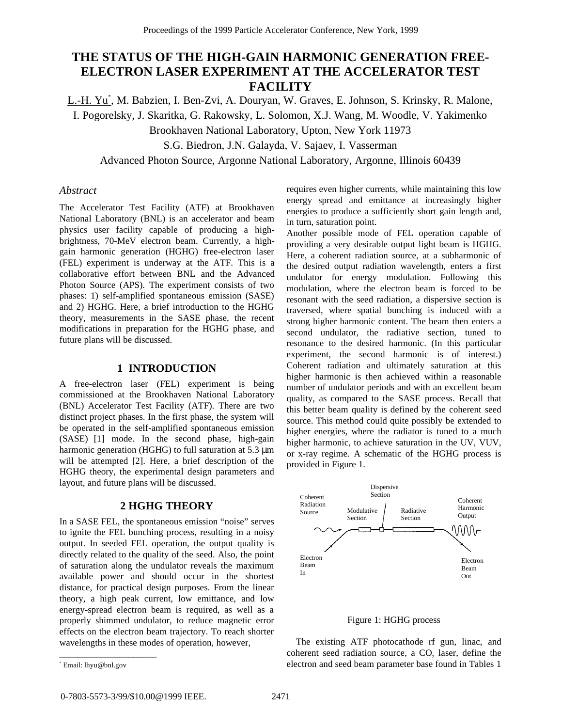# **THE STATUS OF THE HIGH-GAIN HARMONIC GENERATION FREE-ELECTRON LASER EXPERIMENT AT THE ACCELERATOR TEST FACILITY**

L.-H. Yu<sup>\*</sup>, M. Babzien, I. Ben-Zvi, A. Douryan, W. Graves, E. Johnson, S. Krinsky, R. Malone, I. Pogorelsky, J. Skaritka, G. Rakowsky, L. Solomon, X.J. Wang, M. Woodle, V. Yakimenko Brookhaven National Laboratory, Upton, New York 11973 S.G. Biedron, J.N. Galayda, V. Sajaev, I. Vasserman

Advanced Photon Source, Argonne National Laboratory, Argonne, Illinois 60439

### *Abstract*

The Accelerator Test Facility (ATF) at Brookhaven National Laboratory (BNL) is an accelerator and beam physics user facility capable of producing a highbrightness, 70-MeV electron beam. Currently, a highgain harmonic generation (HGHG) free-electron laser (FEL) experiment is underway at the ATF. This is a collaborative effort between BNL and the Advanced Photon Source (APS). The experiment consists of two phases: 1) self-amplified spontaneous emission (SASE) and 2) HGHG. Here, a brief introduction to the HGHG theory, measurements in the SASE phase, the recent modifications in preparation for the HGHG phase, and future plans will be discussed.

### **1 INTRODUCTION**

A free-electron laser (FEL) experiment is being commissioned at the Brookhaven National Laboratory (BNL) Accelerator Test Facility (ATF). There are two distinct project phases. In the first phase, the system will be operated in the self-amplified spontaneous emission (SASE) [1] mode. In the second phase, high-gain harmonic generation (HGHG) to full saturation at 5.3  $\mu$ m will be attempted [2]. Here, a brief description of the HGHG theory, the experimental design parameters and layout, and future plans will be discussed.

#### **2 HGHG THEORY**

In a SASE FEL, the spontaneous emission "noise" serves to ignite the FEL bunching process, resulting in a noisy output. In seeded FEL operation, the output quality is directly related to the quality of the seed. Also, the point of saturation along the undulator reveals the maximum available power and should occur in the shortest distance, for practical design purposes. From the linear theory, a high peak current, low emittance, and low energy-spread electron beam is required, as well as a properly shimmed undulator, to reduce magnetic error effects on the electron beam trajectory. To reach shorter wavelengths in these modes of operation, however,

requires even higher currents, while maintaining this low energy spread and emittance at increasingly higher energies to produce a sufficiently short gain length and, in turn, saturation point.

Another possible mode of FEL operation capable of providing a very desirable output light beam is HGHG. Here, a coherent radiation source, at a subharmonic of the desired output radiation wavelength, enters a first undulator for energy modulation. Following this modulation, where the electron beam is forced to be resonant with the seed radiation, a dispersive section is traversed, where spatial bunching is induced with a strong higher harmonic content. The beam then enters a second undulator, the radiative section, tuned to resonance to the desired harmonic. (In this particular experiment, the second harmonic is of interest.) Coherent radiation and ultimately saturation at this higher harmonic is then achieved within a reasonable number of undulator periods and with an excellent beam quality, as compared to the SASE process. Recall that this better beam quality is defined by the coherent seed source. This method could quite possibly be extended to higher energies, where the radiator is tuned to a much higher harmonic, to achieve saturation in the UV, VUV, or x-ray regime. A schematic of the HGHG process is provided in Figure 1.



Figure 1: HGHG process

The existing ATF photocathode rf gun, linac, and coherent seed radiation source, a CO<sub>2</sub> laser, define the electron and seed beam parameter base found in Tables 1

\_\_\_\_\_\_\_\_\_\_\_\_\_\_\_\_\_\_\_\_\_

<sup>\*</sup> Email: lhyu@bnl.gov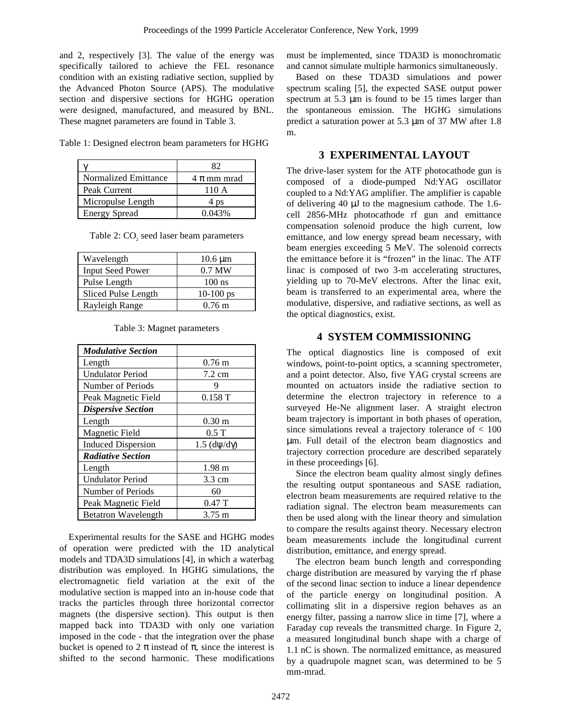and 2, respectively [3]. The value of the energy was specifically tailored to achieve the FEL resonance condition with an existing radiative section, supplied by the Advanced Photon Source (APS). The modulative section and dispersive sections for HGHG operation were designed, manufactured, and measured by BNL. These magnet parameters are found in Table 3.

|  |  | Table 1: Designed electron beam parameters for HGHG |  |
|--|--|-----------------------------------------------------|--|
|  |  |                                                     |  |

|                      | 82              |
|----------------------|-----------------|
| Normalized Emittance | $4 \pi$ mm mrad |
| Peak Current         | 110 A           |
| Micropulse Length    | 4 ps            |
| <b>Energy Spread</b> | 0.043%          |

Table 2: CO<sub>2</sub> seed laser beam parameters

| Wavelength              | $10.6 \mu m$     |
|-------------------------|------------------|
| <b>Input Seed Power</b> | $0.7$ MW         |
| Pulse Length            | $100$ ns         |
| Sliced Pulse Length     | $10-100$ ps      |
| Rayleigh Range          | $0.76 \text{ m}$ |

| <b>Modulative Section</b>  |                                        |
|----------------------------|----------------------------------------|
| Length                     | $0.76$ m                               |
| <b>Undulator Period</b>    | $7.2 \text{ cm}$                       |
| Number of Periods          | 9                                      |
| Peak Magnetic Field        | 0.158T                                 |
| <b>Dispersive Section</b>  |                                        |
| Length                     | $0.30 \text{ m}$                       |
| Magnetic Field             | 0.5T                                   |
| <b>Induced Dispersion</b>  | $1.5 \, (\text{d}\psi/\text{d}\gamma)$ |
| <b>Radiative Section</b>   |                                        |
| Length                     | $1.98 \text{ m}$                       |
| <b>Undulator Period</b>    | $3.3 \text{ cm}$                       |
| Number of Periods          | 60                                     |
| Peak Magnetic Field        | 0.47T                                  |
| <b>Betatron Wavelength</b> | $3.75 \text{ m}$                       |

Table 3: Magnet parameters

Experimental results for the SASE and HGHG modes of operation were predicted with the 1D analytical models and TDA3D simulations [4], in which a waterbag distribution was employed. In HGHG simulations, the electromagnetic field variation at the exit of the modulative section is mapped into an in-house code that tracks the particles through three horizontal corrector magnets (the dispersive section). This output is then mapped back into TDA3D with only one variation imposed in the code - that the integration over the phase bucket is opened to 2  $\pi$  instead of  $\pi$ , since the interest is shifted to the second harmonic. These modifications must be implemented, since TDA3D is monochromatic and cannot simulate multiple harmonics simultaneously.

Based on these TDA3D simulations and power spectrum scaling [5], the expected SASE output power spectrum at 5.3 µm is found to be 15 times larger than the spontaneous emission. The HGHG simulations predict a saturation power at 5.3 µm of 37 MW after 1.8 m.

## **3 EXPERIMENTAL LAYOUT**

The drive-laser system for the ATF photocathode gun is composed of a diode-pumped Nd:YAG oscillator coupled to a Nd:YAG amplifier. The amplifier is capable of delivering 40 µJ to the magnesium cathode. The 1.6 cell 2856-MHz photocathode rf gun and emittance compensation solenoid produce the high current, low emittance, and low energy spread beam necessary, with beam energies exceeding 5 MeV. The solenoid corrects the emittance before it is "frozen" in the linac. The ATF linac is composed of two 3-m accelerating structures, yielding up to 70-MeV electrons. After the linac exit, beam is transferred to an experimental area, where the modulative, dispersive, and radiative sections, as well as the optical diagnostics, exist.

# **4 SYSTEM COMMISSIONING**

The optical diagnostics line is composed of exit windows, point-to-point optics, a scanning spectrometer, and a point detector. Also, five YAG crystal screens are mounted on actuators inside the radiative section to determine the electron trajectory in reference to a surveyed He-Ne alignment laser. A straight electron beam trajectory is important in both phases of operation, since simulations reveal a trajectory tolerance of  $< 100$ µm. Full detail of the electron beam diagnostics and trajectory correction procedure are described separately in these proceedings [6].

Since the electron beam quality almost singly defines the resulting output spontaneous and SASE radiation, electron beam measurements are required relative to the radiation signal. The electron beam measurements can then be used along with the linear theory and simulation to compare the results against theory. Necessary electron beam measurements include the longitudinal current distribution, emittance, and energy spread.

The electron beam bunch length and corresponding charge distribution are measured by varying the rf phase of the second linac section to induce a linear dependence of the particle energy on longitudinal position. A collimating slit in a dispersive region behaves as an energy filter, passing a narrow slice in time [7], where a Faraday cup reveals the transmitted charge. In Figure 2, a measured longitudinal bunch shape with a charge of 1.1 nC is shown. The normalized emittance, as measured by a quadrupole magnet scan, was determined to be 5 mm-mrad.